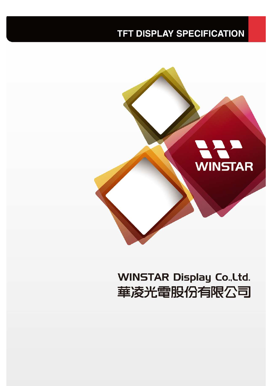# **TFT DISPLAY SPECIFICATION**



# **WINSTAR Display Co., Ltd.** 華凌光電股份有限公司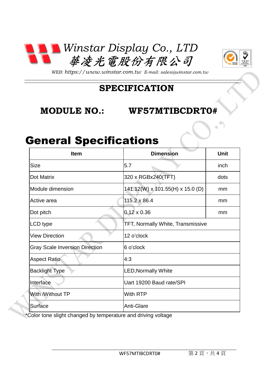



*WEB: https://www.winstar.com.tw E-mail: sales@winstar.com.tw*

### **SPECIFICATION**

#### **MODULE NO.:**  $NO.:$  WF57MTIBCDRT0#

### General Specifications

| <b>Item</b>                           | <b>Dimension</b>                         | <b>Unit</b> |  |  |  |
|---------------------------------------|------------------------------------------|-------------|--|--|--|
| <b>Size</b>                           | 5.7                                      | inch        |  |  |  |
| Dot Matrix                            | 320 x RGBx240(TFT)                       | dots        |  |  |  |
| Module dimension                      | 141.12(W) x 101.55(H) x 15.0 (D)         | mm          |  |  |  |
| Active area                           | 115.2 x 86.4                             | mm          |  |  |  |
| Dot pitch                             | $0.12 \times 0.36$                       | mm          |  |  |  |
| LCD type                              | <b>TFT, Normally White, Transmissive</b> |             |  |  |  |
| <b>View Direction</b>                 | 12 o'clock                               |             |  |  |  |
| <b>Gray Scale Inversion Direction</b> | 6 o'clock                                |             |  |  |  |
| <b>Aspect Ratio</b>                   | 4:3                                      |             |  |  |  |
| <b>Backlight Type</b>                 | <b>LED, Normally White</b>               |             |  |  |  |
| Interface                             | Uart 19200 Baud rate/SPI                 |             |  |  |  |
| With Without TP                       | With RTP                                 |             |  |  |  |
| Surface                               | <b>Anti-Glare</b>                        |             |  |  |  |

\*Color tone slight changed by temperature and driving voltage ed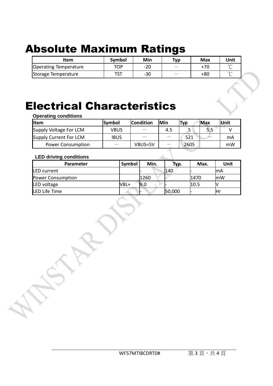# Absolute Maximum Ratings

| Item                         | Symbol | Min   | Typ                               | Max   | Unit |
|------------------------------|--------|-------|-----------------------------------|-------|------|
| <b>Operating Temperature</b> | TOP    | $-20$ |                                   | $+70$ |      |
| Storage Temperature          | TCT    | -30   | $\overbrace{\phantom{aaaaa}}^{x}$ | +80   |      |

## Electrical Characteristics

**Operating conditions**

| <b>Iltem</b>             | Symbol      | <b>Condition</b> | Min | <b>Typ</b> | Max | Unit |
|--------------------------|-------------|------------------|-----|------------|-----|------|
| Supply Voltage For LCM   | VBUS        |                  | 4.5 |            | 5.5 |      |
| Supply Current For LCM   | <b>IBUS</b> |                  |     | 521        |     | mA   |
| <b>Power Consumption</b> |             | VBUS=5V          |     | 2605       |     | mW   |

#### **LED driving conditions**

| <b>Parameter</b>  | Symbol | Min. | Typ.   | Max. | Unit       |
|-------------------|--------|------|--------|------|------------|
| LED current       |        |      | 140    |      | lmA        |
| Power Consumption |        | 1260 |        | 1470 | <b>ImW</b> |
| LED voltage       | VBL+   | 9.0  |        | 10.5 |            |
| LED Life Time     |        |      | 50,000 |      | lHr        |